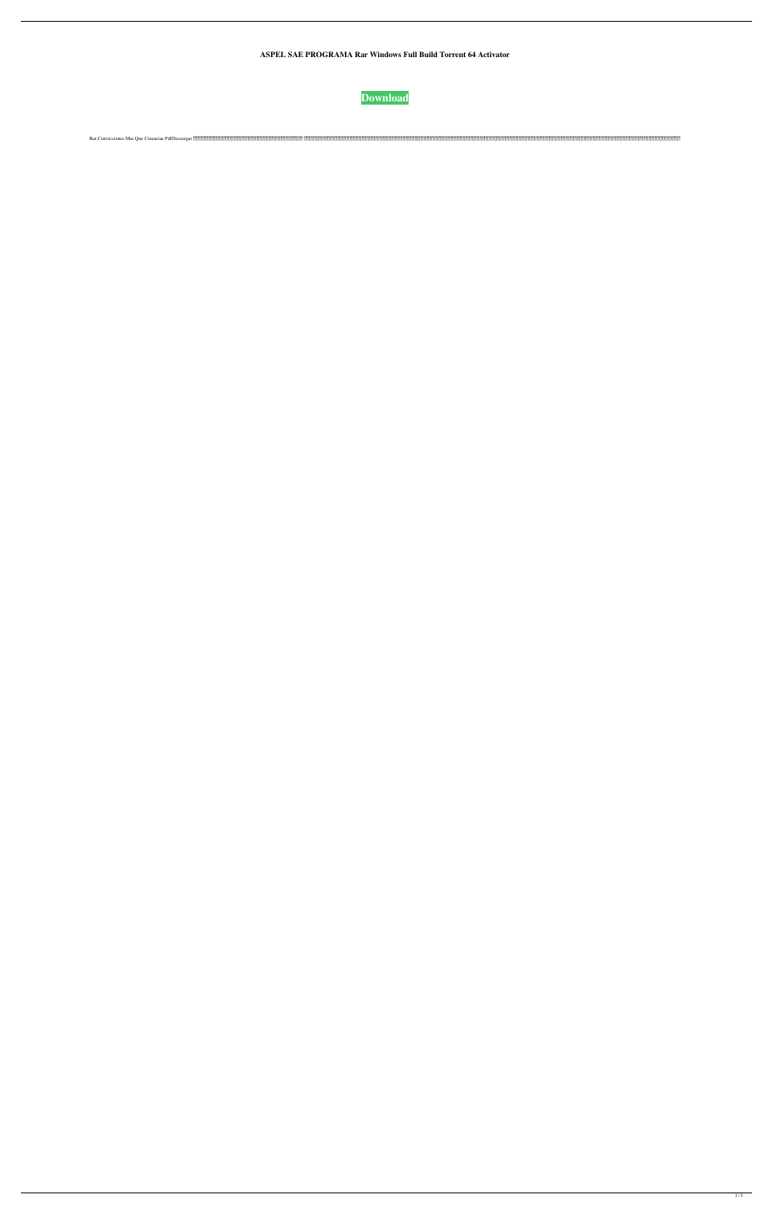**ASPEL SAE PROGRAMA Rar Windows Full Build Torrent 64 Activator**